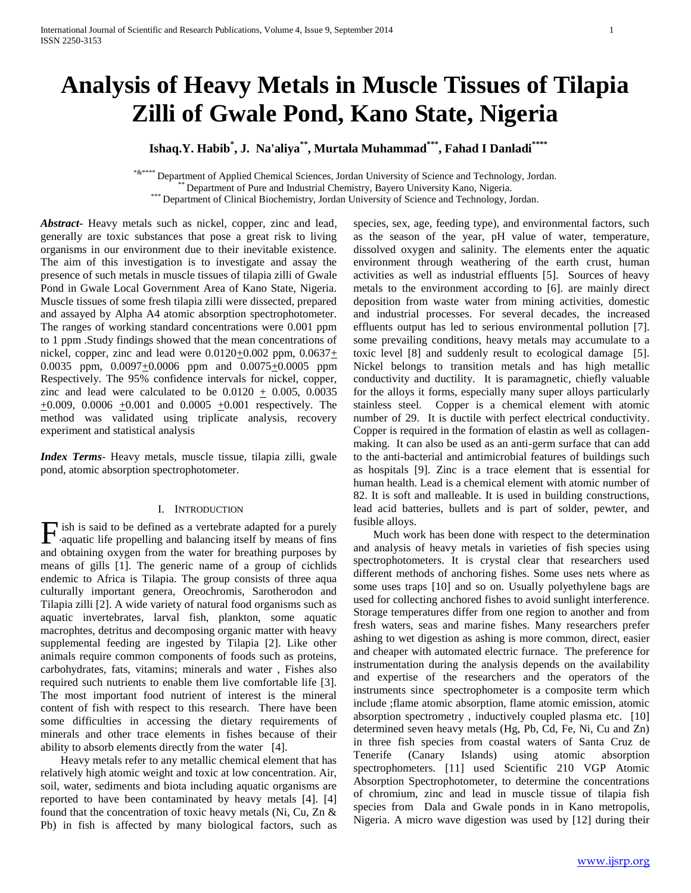# **Analysis of Heavy Metals in Muscle Tissues of Tilapia Zilli of Gwale Pond, Kano State, Nigeria**

 **Ishaq.Y. Habib\* , J. Na'aliya\*\*, Murtala Muhammad\*\*\*, Fahad I Danladi\*\*\*\*** 

\*&\*\*\*\* Department of Applied Chemical Sciences, Jordan University of Science and Technology, Jordan.

\*\* Department of Pure and Industrial Chemistry, Bayero University Kano, Nigeria.

\*\*\* Department of Clinical Biochemistry, Jordan University of Science and Technology, Jordan.

*Abstract***-** Heavy metals such as nickel, copper, zinc and lead, generally are toxic substances that pose a great risk to living organisms in our environment due to their inevitable existence. The aim of this investigation is to investigate and assay the presence of such metals in muscle tissues of tilapia zilli of Gwale Pond in Gwale Local Government Area of Kano State, Nigeria. Muscle tissues of some fresh tilapia zilli were dissected, prepared and assayed by Alpha A4 atomic absorption spectrophotometer. The ranges of working standard concentrations were 0.001 ppm to 1 ppm .Study findings showed that the mean concentrations of nickel, copper, zinc and lead were  $0.0120+0.002$  ppm,  $0.0637+$ 0.0035 ppm,  $0.0097+0.0006$  ppm and  $0.0075+0.0005$  ppm Respectively. The 95% confidence intervals for nickel, copper, zinc and lead were calculated to be  $0.0120 + 0.005$ ,  $0.0035$  $+0.009$ , 0.0006  $+0.001$  and 0.0005  $+0.001$  respectively. The method was validated using triplicate analysis, recovery experiment and statistical analysis

*Index Terms*- Heavy metals, muscle tissue, tilapia zilli, gwale pond, atomic absorption spectrophotometer.

## I. INTRODUCTION

ish is said to be defined as a vertebrate adapted for a purely  $\Gamma$  ish is said to be defined as a vertebrate adapted for a purely aquatic life propelling and balancing itself by means of fins and obtaining oxygen from the water for breathing purposes by means of gills [1]. The generic name of a group of cichlids endemic to Africa is Tilapia. The group consists of three aqua culturally important genera, Oreochromis, Sarotherodon and Tilapia zilli [2]. A wide variety of natural food organisms such as aquatic invertebrates, larval fish, plankton, some aquatic macrophtes, detritus and decomposing organic matter with heavy supplemental feeding are ingested by Tilapia [2]. Like other animals require common components of foods such as proteins, carbohydrates, fats, vitamins; minerals and water , Fishes also required such nutrients to enable them live comfortable life [3]. The most important food nutrient of interest is the mineral content of fish with respect to this research. There have been some difficulties in accessing the dietary requirements of minerals and other trace elements in fishes because of their ability to absorb elements directly from the water [4].

 Heavy metals refer to any metallic chemical element that has relatively high atomic weight and toxic at low concentration. Air, soil, water, sediments and biota including aquatic organisms are reported to have been contaminated by heavy metals [4]. [4] found that the concentration of toxic heavy metals (Ni, Cu, Zn & Pb) in fish is affected by many biological factors, such as species, sex, age, feeding type), and environmental factors, such as the season of the year, pH value of water, temperature, dissolved oxygen and salinity. The elements enter the aquatic environment through weathering of the earth crust, human activities as well as industrial effluents [5]. Sources of heavy metals to the environment according to [6]. are mainly direct deposition from waste water from mining activities, domestic and industrial processes. For several decades, the increased effluents output has led to serious environmental pollution [7]. some prevailing conditions, heavy metals may accumulate to a toxic level [8] and suddenly result to ecological damage [5]. Nickel belongs to transition metals and has high metallic conductivity and ductility. It is paramagnetic, chiefly valuable for the alloys it forms, especially many super alloys particularly stainless steel. Copper is a chemical element with atomic number of 29. It is ductile with perfect electrical conductivity. Copper is required in the formation of elastin as well as collagenmaking. It can also be used as an anti-germ surface that can add to the anti-bacterial and antimicrobial features of buildings such as hospitals [9]. Zinc is a trace element that is essential for human health. Lead is a chemical element with atomic number of 82. It is soft and malleable. It is used in building constructions, lead acid batteries, bullets and is part of solder, pewter, and fusible alloys.

 Much work has been done with respect to the determination and analysis of heavy metals in varieties of fish species using spectrophotometers. It is crystal clear that researchers used different methods of anchoring fishes. Some uses nets where as some uses traps [10] and so on. Usually polyethylene bags are used for collecting anchored fishes to avoid sunlight interference. Storage temperatures differ from one region to another and from fresh waters, seas and marine fishes. Many researchers prefer ashing to wet digestion as ashing is more common, direct, easier and cheaper with automated electric furnace. The preference for instrumentation during the analysis depends on the availability and expertise of the researchers and the operators of the instruments since spectrophometer is a composite term which include ;flame atomic absorption, flame atomic emission, atomic absorption spectrometry , inductively coupled plasma etc. [10] determined seven heavy metals (Hg, Pb, Cd, Fe, Ni, Cu and Zn) in three fish species from coastal waters of Santa Cruz de Tenerife (Canary Islands) using atomic absorption spectrophometers. [11] used Scientific 210 VGP Atomic Absorption Spectrophotometer, to determine the concentrations of chromium, zinc and lead in muscle tissue of tilapia fish species from Dala and Gwale ponds in in Kano metropolis, Nigeria. A micro wave digestion was used by [12] during their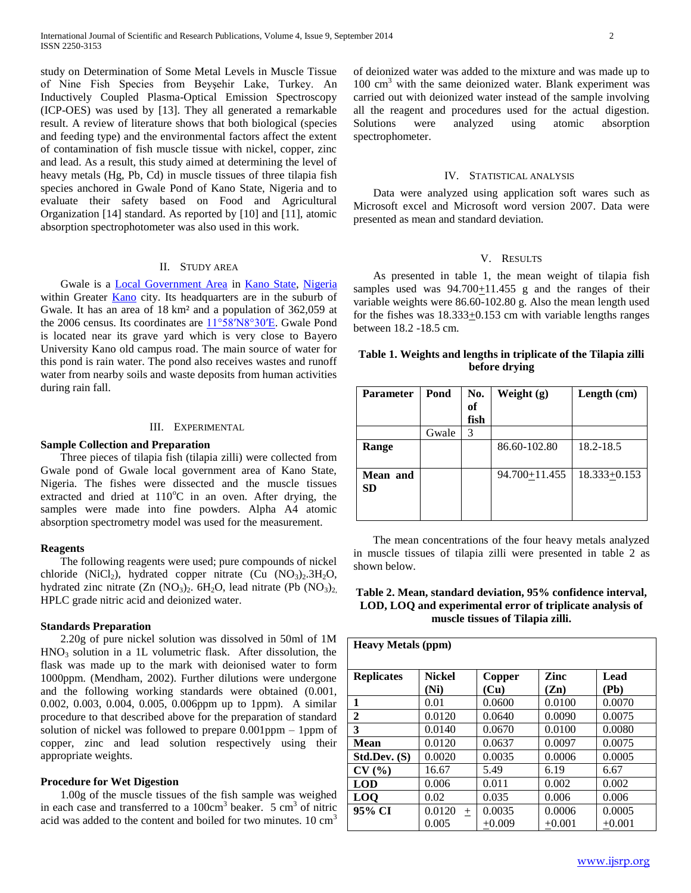study on Determination of Some Metal Levels in Muscle Tissue of Nine Fish Species from Beyşehir Lake, Turkey. An Inductively Coupled Plasma-Optical Emission Spectroscopy (ICP-OES) was used by [13]. They all generated a remarkable result. A review of literature shows that both biological (species and feeding type) and the environmental factors affect the extent of contamination of fish muscle tissue with nickel, copper, zinc and lead. As a result, this study aimed at determining the level of heavy metals (Hg, Pb, Cd) in muscle tissues of three tilapia fish species anchored in Gwale Pond of Kano State, Nigeria and to evaluate their safety based on Food and Agricultural Organization [14] standard. As reported by [10] and [11], atomic absorption spectrophotometer was also used in this work.

#### II. STUDY AREA

 Gwale is a [Local Government Area](http://en.wikipedia.org/wiki/Local_Government_Areas_of_Nigeria) in [Kano State,](http://en.wikipedia.org/wiki/Kano_State) [Nigeria](http://en.wikipedia.org/wiki/Nigeria) within Greater **Kano** city. Its headquarters are in the suburb of Gwale. It has an area of 18 km² and a population of 362,059 at the 2006 census. Its coordinates are  $11^{\circ}58'N8^{\circ}30'E$ . Gwale Pond is located near its grave yard which is very close to Bayero University Kano old campus road. The main source of water for this pond is rain water. The pond also receives wastes and runoff water from nearby soils and waste deposits from human activities during rain fall.

## III. EXPERIMENTAL

## **Sample Collection and Preparation**

 Three pieces of tilapia fish (tilapia zilli) were collected from Gwale pond of Gwale local government area of Kano State, Nigeria. The fishes were dissected and the muscle tissues extracted and dried at  $110^{\circ}$ C in an oven. After drying, the samples were made into fine powders. Alpha A4 atomic absorption spectrometry model was used for the measurement.

#### **Reagents**

 The following reagents were used; pure compounds of nickel chloride (NiCl<sub>2</sub>), hydrated copper nitrate (Cu  $(NO<sub>3</sub>)<sub>2</sub>$ .3H<sub>2</sub>O, hydrated zinc nitrate  $(Zn (NO<sub>3</sub>)<sub>2</sub>$ . 6H<sub>2</sub>O, lead nitrate (Pb  $(NO<sub>3</sub>)<sub>2</sub>$ ) HPLC grade nitric acid and deionized water.

#### **Standards Preparation**

 2.20g of pure nickel solution was dissolved in 50ml of 1M  $HNO<sub>3</sub>$  solution in a 1L volumetric flask. After dissolution, the flask was made up to the mark with deionised water to form 1000ppm. (Mendham, 2002). Further dilutions were undergone and the following working standards were obtained (0.001, 0.002, 0.003, 0.004, 0.005, 0.006ppm up to 1ppm). A similar procedure to that described above for the preparation of standard solution of nickel was followed to prepare 0.001ppm – 1ppm of copper, zinc and lead solution respectively using their appropriate weights.

#### **Procedure for Wet Digestion**

 1.00g of the muscle tissues of the fish sample was weighed in each case and transferred to a  $100 \text{cm}^3$  beaker. 5  $\text{cm}^3$  of nitric acid was added to the content and boiled for two minutes.  $10 \text{ cm}^3$ 

of deionized water was added to the mixture and was made up to  $100 \text{ cm}^3$  with the same deionized water. Blank experiment was carried out with deionized water instead of the sample involving all the reagent and procedures used for the actual digestion. Solutions were analyzed using atomic absorption spectrophometer.

#### IV. STATISTICAL ANALYSIS

 Data were analyzed using application soft wares such as Microsoft excel and Microsoft word version 2007. Data were presented as mean and standard deviation.

#### V. RESULTS

 As presented in table 1, the mean weight of tilapia fish samples used was  $94.700 \pm 11.455$  g and the ranges of their variable weights were 86.60-102.80 g. Also the mean length used for the fishes was  $18.333 \pm 0.153$  cm with variable lengths ranges between 18.2 -18.5 cm.

## **Table 1. Weights and lengths in triplicate of the Tilapia zilli before drying**

| <b>Parameter</b>      | Pond  | No.  | Weight $(g)$  | Length (cm)      |
|-----------------------|-------|------|---------------|------------------|
|                       |       | of   |               |                  |
|                       |       | fish |               |                  |
|                       | Gwale | 3    |               |                  |
| Range                 |       |      | 86.60-102.80  | 18.2-18.5        |
| Mean and<br><b>SD</b> |       |      | 94.700+11.455 | $18.333 + 0.153$ |

 The mean concentrations of the four heavy metals analyzed in muscle tissues of tilapia zilli were presented in table 2 as shown below.

# **Table 2. Mean, standard deviation, 95% confidence interval, LOD, LOQ and experimental error of triplicate analysis of muscle tissues of Tilapia zilli.**

| <b>Heavy Metals (ppm)</b> |                       |                |              |              |  |  |  |
|---------------------------|-----------------------|----------------|--------------|--------------|--|--|--|
| <b>Replicates</b>         | <b>Nickel</b><br>(Ni) | Copper<br>(Cu) | Zinc<br>(Zn) | Lead<br>(Pb) |  |  |  |
| 1                         | 0.01                  | 0.0600         | 0.0100       | 0.0070       |  |  |  |
| $\mathbf{2}$              | 0.0120                | 0.0640         | 0.0090       | 0.0075       |  |  |  |
| 3                         | 0.0140                | 0.0670         | 0.0100       | 0.0080       |  |  |  |
| Mean                      | 0.0120                | 0.0637         | 0.0097       | 0.0075       |  |  |  |
| Std.Dev. (S)              | 0.0020                | 0.0035         | 0.0006       | 0.0005       |  |  |  |
| CV(%)                     | 16.67                 | 5.49           | 6.19         | 6.67         |  |  |  |
| <b>LOD</b>                | 0.006                 | 0.011          | 0.002        | 0.002        |  |  |  |
| <b>LOO</b>                | 0.02                  | 0.035          | 0.006        | 0.006        |  |  |  |
| 95% CI                    | 0.0120<br>$+$         | 0.0035         | 0.0006       | 0.0005       |  |  |  |
|                           | 0.005                 | $+0.009$       | $+0.001$     | $+0.001$     |  |  |  |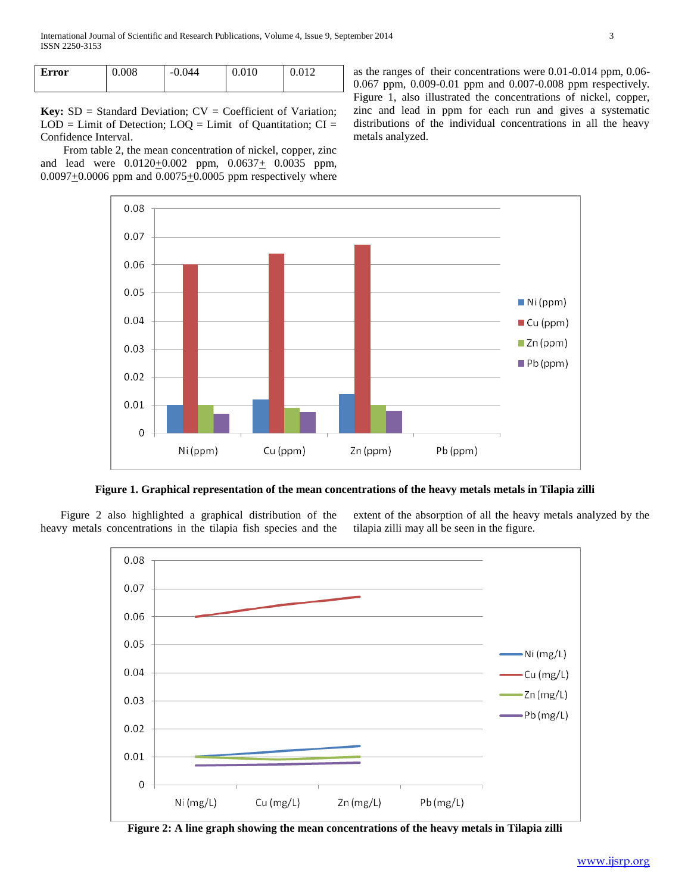| <b>Error</b> | 0.008 | $-0.044$ | 0.010 | 0.012 |
|--------------|-------|----------|-------|-------|
|              |       |          |       |       |

**Key:** SD = Standard Deviation; CV = Coefficient of Variation;  $LOD =$  Limit of Detection;  $LOQ =$  Limit of Quantitation;  $CI =$ Confidence Interval.

 From table 2, the mean concentration of nickel, copper, zinc and lead were  $0.0120 \pm 0.002$  ppm,  $0.0637 \pm 0.0035$  ppm,  $0.0097 + 0.0006$  ppm and  $0.0075 + 0.0005$  ppm respectively where as the ranges of their concentrations were 0.01-0.014 ppm, 0.06- 0.067 ppm, 0.009-0.01 ppm and 0.007-0.008 ppm respectively. Figure 1, also illustrated the concentrations of nickel, copper, zinc and lead in ppm for each run and gives a systematic distributions of the individual concentrations in all the heavy metals analyzed.



**Figure 1. Graphical representation of the mean concentrations of the heavy metals metals in Tilapia zilli**

 Figure 2 also highlighted a graphical distribution of the heavy metals concentrations in the tilapia fish species and the extent of the absorption of all the heavy metals analyzed by the tilapia zilli may all be seen in the figure.



**Figure 2: A line graph showing the mean concentrations of the heavy metals in Tilapia zilli**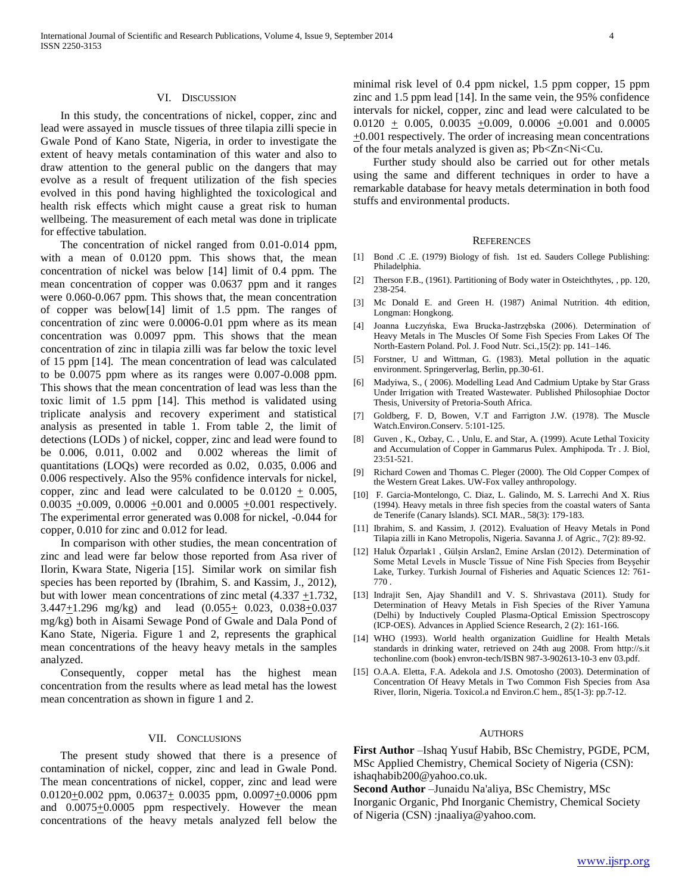#### VI. DISCUSSION

 In this study, the concentrations of nickel, copper, zinc and lead were assayed in muscle tissues of three tilapia zilli specie in Gwale Pond of Kano State, Nigeria, in order to investigate the extent of heavy metals contamination of this water and also to draw attention to the general public on the dangers that may evolve as a result of frequent utilization of the fish species evolved in this pond having highlighted the toxicological and health risk effects which might cause a great risk to human wellbeing. The measurement of each metal was done in triplicate for effective tabulation.

 The concentration of nickel ranged from 0.01-0.014 ppm, with a mean of  $0.0120$  ppm. This shows that, the mean concentration of nickel was below [14] limit of 0.4 ppm. The mean concentration of copper was 0.0637 ppm and it ranges were 0.060-0.067 ppm. This shows that, the mean concentration of copper was below[14] limit of 1.5 ppm. The ranges of concentration of zinc were 0.0006-0.01 ppm where as its mean concentration was 0.0097 ppm. This shows that the mean concentration of zinc in tilapia zilli was far below the toxic level of 15 ppm [14]. The mean concentration of lead was calculated to be 0.0075 ppm where as its ranges were 0.007-0.008 ppm. This shows that the mean concentration of lead was less than the toxic limit of 1.5 ppm [14]. This method is validated using triplicate analysis and recovery experiment and statistical analysis as presented in table 1. From table 2, the limit of detections (LODs ) of nickel, copper, zinc and lead were found to be 0.006, 0.011, 0.002 and 0.002 whereas the limit of quantitations (LOQs) were recorded as 0.02, 0.035, 0.006 and 0.006 respectively. Also the 95% confidence intervals for nickel, copper, zinc and lead were calculated to be  $0.0120 + 0.005$ ,  $0.0035 + 0.009$ ,  $0.0006 + 0.001$  and  $0.0005 + 0.001$  respectively. The experimental error generated was 0.008 for nickel, -0.044 for copper, 0.010 for zinc and 0.012 for lead.

 In comparison with other studies, the mean concentration of zinc and lead were far below those reported from Asa river of Ilorin, Kwara State, Nigeria [15]. Similar work on similar fish species has been reported by (Ibrahim, S. and Kassim, J., 2012), but with lower mean concentrations of zinc metal  $(4.337 +1.732)$ , 3.447+1.296 mg/kg) and lead (0.055+ 0.023, 0.038+0.037 mg/kg) both in Aisami Sewage Pond of Gwale and Dala Pond of Kano State, Nigeria. Figure 1 and 2, represents the graphical mean concentrations of the heavy heavy metals in the samples analyzed.

 Consequently, copper metal has the highest mean concentration from the results where as lead metal has the lowest mean concentration as shown in figure 1 and 2.

#### VII. CONCLUSIONS

 The present study showed that there is a presence of contamination of nickel, copper, zinc and lead in Gwale Pond. The mean concentrations of nickel, copper, zinc and lead were 0.0120 $\pm$ 0.002 ppm, 0.0637 $\pm$  0.0035 ppm, 0.0097 $\pm$ 0.0006 ppm and  $0.0075 \pm 0.0005$  ppm respectively. However the mean concentrations of the heavy metals analyzed fell below the

minimal risk level of 0.4 ppm nickel, 1.5 ppm copper, 15 ppm zinc and 1.5 ppm lead [14]. In the same vein, the 95% confidence intervals for nickel, copper, zinc and lead were calculated to be  $0.0120 \pm 0.005$ ,  $0.0035 \pm 0.009$ ,  $0.0006 \pm 0.001$  and  $0.0005$  $\pm 0.001$  respectively. The order of increasing mean concentrations of the four metals analyzed is given as; Pb<Zn<Ni<Cu.

 Further study should also be carried out for other metals using the same and different techniques in order to have a remarkable database for heavy metals determination in both food stuffs and environmental products.

#### **REFERENCES**

- [1] Bond .C .E. (1979) Biology of fish. 1st ed. Sauders College Publishing: Philadelphia.
- [2] Therson F.B., (1961). Partitioning of Body water in Osteichthytes, , pp. 120, 238-254.
- [3] Mc Donald E. and Green H. (1987) Animal Nutrition. 4th edition, Longman: Hongkong.
- [4] Joanna Łuczyńska, Ewa Brucka-Jastrzębska (2006). Determination of Heavy Metals in The Muscles Of Some Fish Species From Lakes Of The North-Eastern Poland. Pol. J. Food Nutr. Sci.,15(2): pp. 141–146.
- [5] Forstner, U and Wittman, G. (1983). Metal pollution in the aquatic environment. Springerverlag, Berlin, pp.30-61.
- [6] Madyiwa, S., ( 2006). Modelling Lead And Cadmium Uptake by Star Grass Under Irrigation with Treated Wastewater. Published Philosophiae Doctor Thesis, University of Pretoria-South Africa.
- [7] Goldberg, F. D, Bowen, V.T and Farrigton J.W. (1978). The Muscle Watch.Environ.Conserv. 5:101-125.
- [8] Guven , K., Ozbay, C. , Unlu, E. and Star, A. (1999). Acute Lethal Toxicity and Accumulation of Copper in Gammarus Pulex. Amphipoda. Tr . J. Biol, 23:51-521.
- [9] Richard Cowen and Thomas C. Pleger (2000). The Old Copper Compex of the Western Great Lakes. UW-Fox valley anthropology.
- [10] F. Garcia-Montelongo, C. Diaz, L. Galindo, M. S. Larrechi And X. Rius (1994). Heavy metals in three fish species from the coastal waters of Santa de Tenerife (Canary Islands). SCI. MAR., 58(3): 179-183.
- [11] Ibrahim, S. and Kassim, J. (2012). Evaluation of Heavy Metals in Pond Tilapia zilli in Kano Metropolis, Nigeria. Savanna J. of Agric., 7(2): 89-92.
- [12] Haluk Özparlak1 , Gülşin Arslan2, Emine Arslan (2012). Determination of Some Metal Levels in Muscle Tissue of Nine Fish Species from Beyşehir Lake, Turkey. Turkish Journal of Fisheries and Aquatic Sciences 12: 761- 770 .
- [13] Indrajit Sen, Ajay Shandil1 and V. S. Shrivastava (2011). Study for Determination of Heavy Metals in Fish Species of the River Yamuna (Delhi) by Inductively Coupled Plasma-Optical Emission Spectroscopy (ICP-OES). Advances in Applied Science Research, 2 (2): 161-166.
- [14] WHO (1993). World health organization Guidline for Health Metals standards in drinking water, retrieved on 24th aug 2008. From http://s.it techonline.com (book) envron-tech/ISBN 987-3-902613-10-3 env 03.pdf.
- [15] O.A.A. Eletta, F.A. Adekola and J.S. Omotosho (2003). Determination of Concentration Of Heavy Metals in Two Common Fish Species from Asa River, Ilorin, Nigeria. Toxicol.a nd Environ.C hem., 85(1-3): pp.7-12.

#### AUTHORS

**First Author** –Ishaq Yusuf Habib, BSc Chemistry, PGDE, PCM, MSc Applied Chemistry, Chemical Society of Nigeria (CSN): ishaqhabib200@yahoo.co.uk.

**Second Author** –Junaidu Na'aliya, BSc Chemistry, MSc Inorganic Organic, Phd Inorganic Chemistry, Chemical Society of Nigeria (CSN) :jnaaliya@yahoo.com.